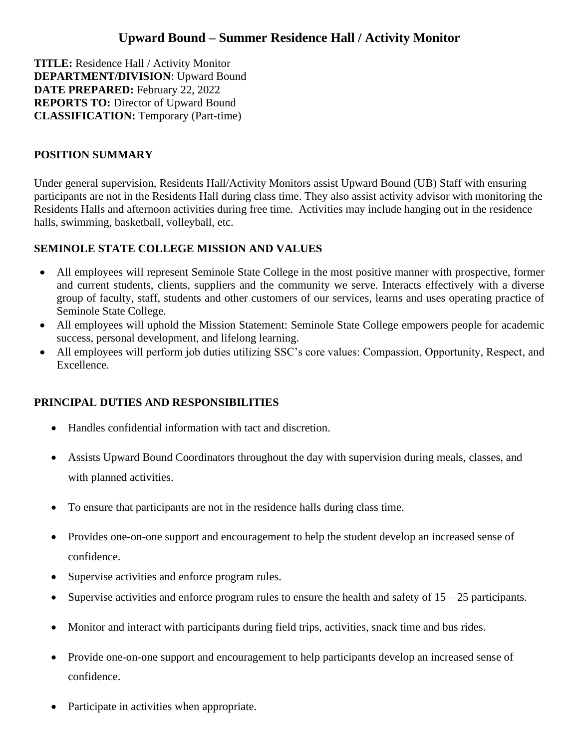# **Upward Bound – Summer Residence Hall / Activity Monitor**

**TITLE:** Residence Hall / Activity Monitor **DEPARTMENT/DIVISION**: Upward Bound **DATE PREPARED:** February 22, 2022 **REPORTS TO:** Director of Upward Bound **CLASSIFICATION:** Temporary (Part-time)

## **POSITION SUMMARY**

Under general supervision, Residents Hall/Activity Monitors assist Upward Bound (UB) Staff with ensuring participants are not in the Residents Hall during class time. They also assist activity advisor with monitoring the Residents Halls and afternoon activities during free time. Activities may include hanging out in the residence halls, swimming, basketball, volleyball, etc.

## **SEMINOLE STATE COLLEGE MISSION AND VALUES**

- All employees will represent Seminole State College in the most positive manner with prospective, former and current students, clients, suppliers and the community we serve. Interacts effectively with a diverse group of faculty, staff, students and other customers of our services, learns and uses operating practice of Seminole State College.
- All employees will uphold the Mission Statement: Seminole State College empowers people for academic success, personal development, and lifelong learning.
- All employees will perform job duties utilizing SSC's core values: Compassion, Opportunity, Respect, and Excellence.

# **PRINCIPAL DUTIES AND RESPONSIBILITIES**

- Handles confidential information with tact and discretion.
- Assists Upward Bound Coordinators throughout the day with supervision during meals, classes, and with planned activities.
- To ensure that participants are not in the residence halls during class time.
- Provides one-on-one support and encouragement to help the student develop an increased sense of confidence.
- Supervise activities and enforce program rules.
- Supervise activities and enforce program rules to ensure the health and safety of  $15 25$  participants.
- Monitor and interact with participants during field trips, activities, snack time and bus rides.
- Provide one-on-one support and encouragement to help participants develop an increased sense of confidence.
- Participate in activities when appropriate.